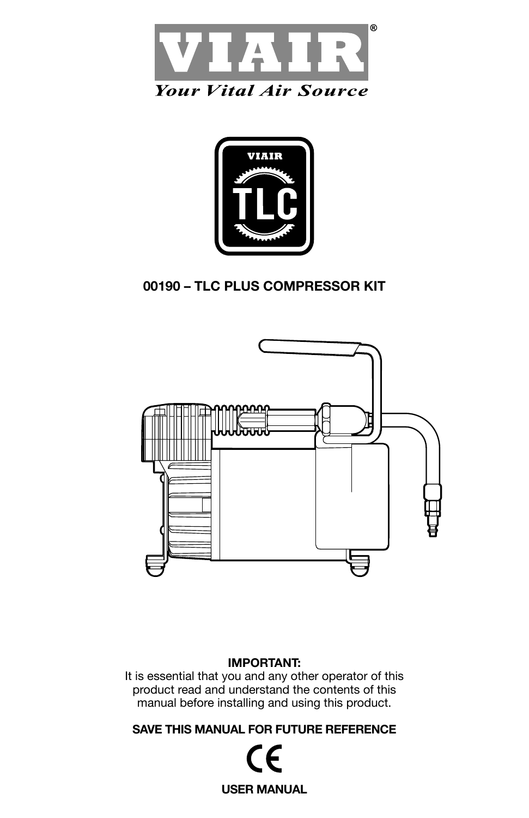





### **IMPORTANT:**

It is essential that you and any other operator of this product read and understand the contents of this manual before installing and using this product.

### **SAVE THIS MANUAL FOR FUTURE REFERENCE**

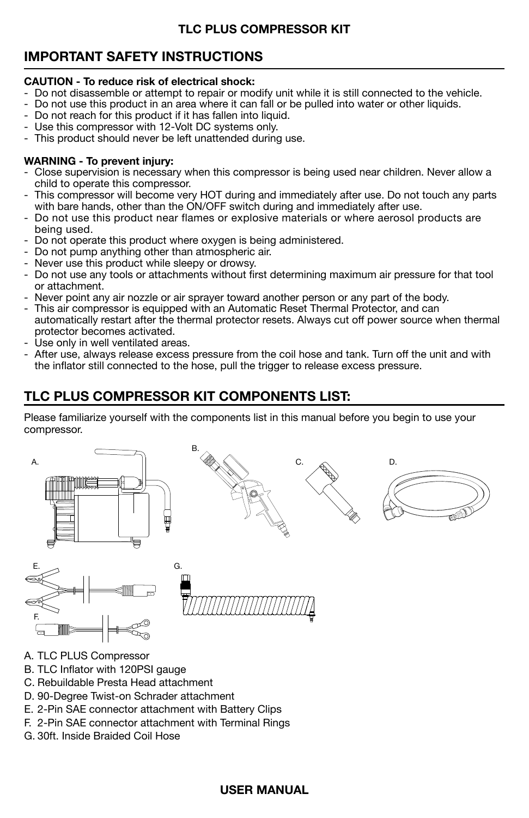# **IMPORTANT SAFETY INSTRUCTIONS**

# **CAUTION - To reduce risk of electrical shock:**

- Do not disassemble or attempt to repair or modify unit while it is still connected to the vehicle.
- Do not use this product in an area where it can fall or be pulled into water or other liquids.
- Do not reach for this product if it has fallen into liquid.
- Use this compressor with 12-Volt DC systems only.
- This product should never be left unattended during use.

# **WARNING - To prevent injury:**

- Close supervision is necessary when this compressor is being used near children. Never allow a child to operate this compressor.
- This compressor will become very HOT during and immediately after use. Do not touch any parts with bare hands, other than the ON/OFF switch during and immediately after use.
- Do not use this product near flames or explosive materials or where aerosol products are being used.
- Do not operate this product where oxygen is being administered.
- Do not pump anything other than atmospheric air.
- Never use this product while sleepy or drowsy.
- Do not use any tools or attachments without first determining maximum air pressure for that tool or attachment.
- Never point any air nozzle or air sprayer toward another person or any part of the body.
- This air compressor is equipped with an Automatic Reset Thermal Protector, and can automatically restart after the thermal protector resets. Always cut off power source when thermal protector becomes activated.
- Use only in well ventilated areas.
- After use, always release excess pressure from the coil hose and tank. Turn off the unit and with the inflator still connected to the hose, pull the trigger to release excess pressure.

# **TLC PLUS COMPRESSOR KIT COMPONENTS LIST:**

Please familiarize yourself with the components list in this manual before you begin to use your compressor.



- A. TLC PLUS Compressor
- B. TLC Inflator with 120PSI gauge
- C. Rebuildable Presta Head attachment
- D. 90-Degree Twist-on Schrader attachment
- E. 2-Pin SAE connector attachment with Battery Clips
- F. 2-Pin SAE connector attachment with Terminal Rings
- G. 30ft. Inside Braided Coil Hose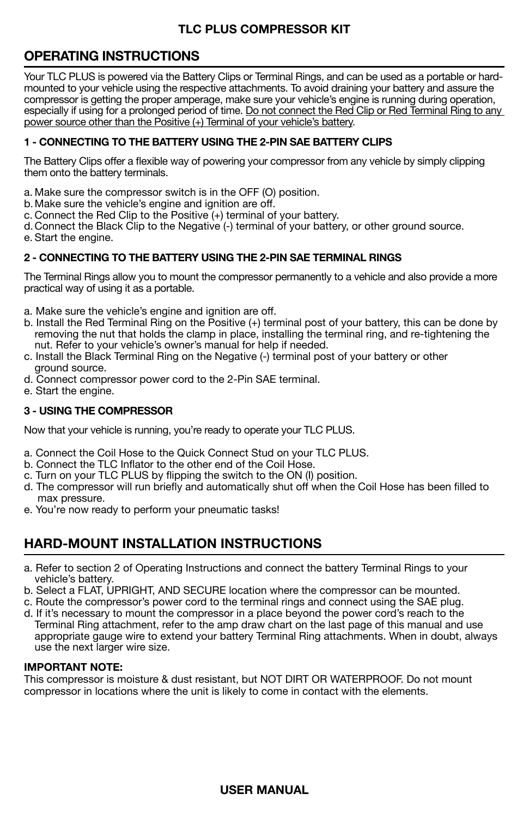# **OPERATING INSTRUCTIONS**

Your TLC PLUS is powered via the Battery Clips or Terminal Rings, and can be used as a portable or hardmounted to your vehicle using the respective attachments. To avoid draining your battery and assure the compressor is getting the proper amperage, make sure your vehicle's engine is running during operation, especially if using for a prolonged period of time. Do not connect the Red Clip or Red Terminal Ring to any power source other than the Positive (+) Terminal of your vehicle's battery.

#### **1 - CONNECTING TO THE BATTERY USING THE 2-PIN SAE BATTERY CLIPS**

The Battery Clips offer a flexible way of powering your compressor from any vehicle by simply clipping them onto the battery terminals.

- a. Make sure the compressor switch is in the OFF (O) position.
- b. Make sure the vehicle's engine and ignition are off.
- c. Connect the Red Clip to the Positive (+) terminal of your battery.

d.Connect the Black Clip to the Negative (-) terminal of your battery, or other ground source. e. Start the engine.

#### **2 - CONNECTING TO THE BATTERY USING THE 2-PIN SAE TERMINAL RINGS**

The Terminal Rings allow you to mount the compressor permanently to a vehicle and also provide a more practical way of using it as a portable.

- a. Make sure the vehicle's engine and ignition are off.
- b. Install the Red Terminal Ring on the Positive (+) terminal post of your battery, this can be done by removing the nut that holds the clamp in place, installing the terminal ring, and re-tightening the nut. Refer to your vehicle's owner's manual for help if needed.
- c. Install the Black Terminal Ring on the Negative (-) terminal post of your battery or other ground source.
- d. Connect compressor power cord to the 2-Pin SAE terminal.
- e. Start the engine.

#### **3 - USING THE COMPRESSOR**

Now that your vehicle is running, you're ready to operate your TLC PLUS.

- a. Connect the Coil Hose to the Quick Connect Stud on your TLC PLUS.
- b. Connect the TLC Inflator to the other end of the Coil Hose.
- c. Turn on your TLC PLUS by flipping the switch to the ON (I) position.
- d. The compressor will run briefly and automatically shut off when the Coil Hose has been filled to max pressure.
- e. You're now ready to perform your pneumatic tasks!

# **HARD-MOUNT INSTALLATION INSTRUCTIONS**

- a. Refer to section 2 of Operating Instructions and connect the battery Terminal Rings to your vehicle's battery.
- b. Select a FLAT, UPRIGHT, AND SECURE location where the compressor can be mounted.
- c. Route the compressor's power cord to the terminal rings and connect using the SAE plug.
- d. If it's necessary to mount the compressor in a place beyond the power cord's reach to the Terminal Ring attachment, refer to the amp draw chart on the last page of this manual and use appropriate gauge wire to extend your battery Terminal Ring attachments. When in doubt, always use the next larger wire size.

#### **IMPORTANT NOTE:**

This compressor is moisture & dust resistant, but NOT DIRT OR WATERPROOF. Do not mount compressor in locations where the unit is likely to come in contact with the elements.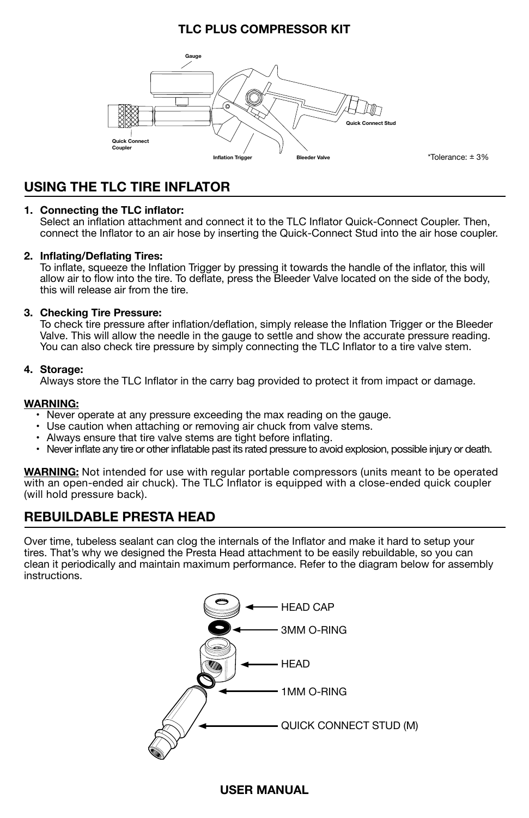

\*Tolerance: ± 3%

# **USING THE TLC TIRE INFLATOR**

#### **1. Connecting the TLC inflator:**

Select an inflation attachment and connect it to the TLC Inflator Quick-Connect Coupler. Then, connect the Inflator to an air hose by inserting the Quick-Connect Stud into the air hose coupler.

#### **2. Inflating/Deflating Tires:**

To inflate, squeeze the Inflation Trigger by pressing it towards the handle of the inflator, this will allow air to flow into the tire. To deflate, press the Bleeder Valve located on the side of the body, this will release air from the tire.

#### **3. Checking Tire Pressure:**

To check tire pressure after inflation/deflation, simply release the Inflation Trigger or the Bleeder Valve. This will allow the needle in the gauge to settle and show the accurate pressure reading. You can also check tire pressure by simply connecting the TLC Inflator to a tire valve stem.

#### **4. Storage:**

Always store the TLC Inflator in the carry bag provided to protect it from impact or damage.

#### **WARNING:**

- Never operate at any pressure exceeding the max reading on the gauge.
- Use caution when attaching or removing air chuck from valve stems.
- Always ensure that tire valve stems are tight before inflating.
- Never inflate any tire or other inflatable past its rated pressure to avoid explosion, possible injury or death.

**WARNING:** Not intended for use with regular portable compressors (units meant to be operated with an open-ended air chuck). The TLC Inflator is equipped with a close-ended quick coupler (will hold pressure back).

# **REBUILDABLE PRESTA HEAD**

Over time, tubeless sealant can clog the internals of the Inflator and make it hard to setup your tires. That's why we designed the Presta Head attachment to be easily rebuildable, so you can clean it periodically and maintain maximum performance. Refer to the diagram below for assembly instructions.

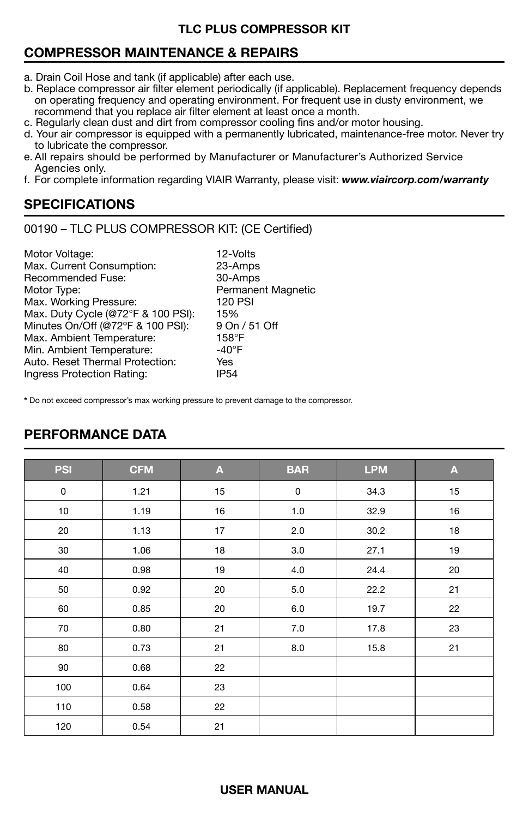# **COMPRESSOR MAINTENANCE & REPAIRS**

- a. Drain Coil Hose and tank (if applicable) after each use.
- b. Replace compressor air filter element periodically (if applicable). Replacement frequency depends on operating frequency and operating environment. For frequent use in dusty environment, we recommend that you replace air filter element at least once a month.
- c. Regularly clean dust and dirt from compressor cooling fins and/or motor housing.
- d. Your air compressor is equipped with a permanently lubricated, maintenance-free motor. Never try to lubricate the compressor.
- e. All repairs should be performed by Manufacturer or Manufacturer's Authorized Service Agencies only.
- f. For complete information regarding VIAIR Warranty, please visit: *www.viaircorp.com/warranty*

# **SPECIFICATIONS**

00190 – TLC PLUS COMPRESSOR KIT: (CE Certified)

| Motor Voltage:                     | 12-Volts                  |
|------------------------------------|---------------------------|
| Max. Current Consumption:          | 23-Amps                   |
| Recommended Fuse:                  | 30-Amps                   |
| Motor Type:                        | <b>Permanent Magnetic</b> |
| Max. Working Pressure:             | <b>120 PSI</b>            |
| Max. Duty Cycle (@72°F & 100 PSI): | 15%                       |
| Minutes On/Off (@72°F & 100 PSI):  | 9 On / 51 Off             |
| Max. Ambient Temperature:          | $158^\circ F$             |
| Min. Ambient Temperature:          | $-40^{\circ}$ F           |
| Auto. Reset Thermal Protection:    | Yes                       |
| Ingress Protection Rating:         | <b>IP54</b>               |
|                                    |                           |

**\*** Do not exceed compressor's max working pressure to prevent damage to the compressor.

| <b>PSI</b> | <b>CFM</b> | $\mathbf{A}$ | <b>BAR</b> | <b>LPM</b> | A  |
|------------|------------|--------------|------------|------------|----|
| 0          | 1.21       | 15           | 0          | 34.3       | 15 |
| 10         | 1.19       | 16           | 1.0        | 32.9       | 16 |
| 20         | 1.13       | 17           | 2.0        | 30.2       | 18 |
| 30         | 1.06       | 18           | 3.0        | 27.1       | 19 |
| 40         | 0.98       | 19           | 4.0        | 24.4       | 20 |
| 50         | 0.92       | 20           | 5.0        | 22.2       | 21 |
| 60         | 0.85       | 20           | 6.0        | 19.7       | 22 |
| 70         | 0.80       | 21           | 7.0        | 17.8       | 23 |
| 80         | 0.73       | 21           | 8.0        | 15.8       | 21 |
| 90         | 0.68       | 22           |            |            |    |
| 100        | 0.64       | 23           |            |            |    |
| 110        | 0.58       | 22           |            |            |    |
| 120        | 0.54       | 21           |            |            |    |

# **PERFORMANCE DATA**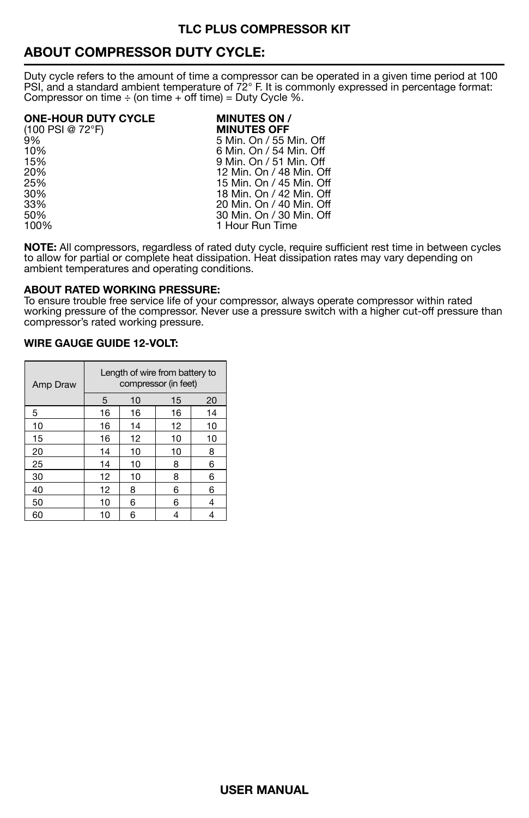# **ABOUT COMPRESSOR DUTY CYCLE:**

Duty cycle refers to the amount of time a compressor can be operated in a given time period at 100 PSI, and a standard ambient temperature of 72° F. It is commonly expressed in percentage format: Compressor on time  $\div$  (on time  $+$  off time) = Duty Cycle %.

# **ONE-HOUR DUTY CYCLE MINUTES ON /**<br>(100 PSI @ 72°F) **MINUTES OFF**

- (100 PSI @ 72°F)<br>9%
- 9% 5 Min. On / 55 Min. Off 10% 6 Min. On / 54 Min. Off 15% 9 Min. On / 51 Min. Off 20% 20% 12 Min. On / 48 Min. Off<br>25% 15 Min. On / 45 Min. Off 25% 25% 25% 25% 15 Min. On / 45 Min. Off 15 Min. Off 18 Min. Off 18 Min. Off 18 Min. Off 18 Min. Off 18 Min. O 30% 18 Min. On / 42 Min. Off 33% 20 Min. On / 40 Min. Off<br>50% 30 Min. On / 30 Min. Off 50% 30 Min. On / 30 Min. Off 100% 30 Min. Off 100% 1 Hour Run Time

**NOTE:** All compressors, regardless of rated duty cycle, require sufficient rest time in between cycles to allow for partial or complete heat dissipation. Heat dissipation rates may vary depending on ambient temperatures and operating conditions.

#### **ABOUT RATED WORKING PRESSURE:**

To ensure trouble free service life of your compressor, always operate compressor within rated working pressure of the compressor. Never use a pressure switch with a higher cut-off pressure than compressor's rated working pressure.

#### **WIRE GAUGE GUIDE 12-VOLT:**

| Amp Draw | Length of wire from battery to<br>compressor (in feet) |    |    |    |  |
|----------|--------------------------------------------------------|----|----|----|--|
|          | 5                                                      | 10 | 15 | 20 |  |
| 5        | 16                                                     | 16 | 16 | 14 |  |
| 10       | 16                                                     | 14 | 12 | 10 |  |
| 15       | 16                                                     | 12 | 10 | 10 |  |
| 20       | 14                                                     | 10 | 10 | 8  |  |
| 25       | 14                                                     | 10 | 8  | 6  |  |
| 30       | 12                                                     | 10 | 8  | 6  |  |
| 40       | 12                                                     | 8  | 6  | 6  |  |
| 50       | 10                                                     | 6  | 6  | 4  |  |
| 60       | 10                                                     | 6  | 4  |    |  |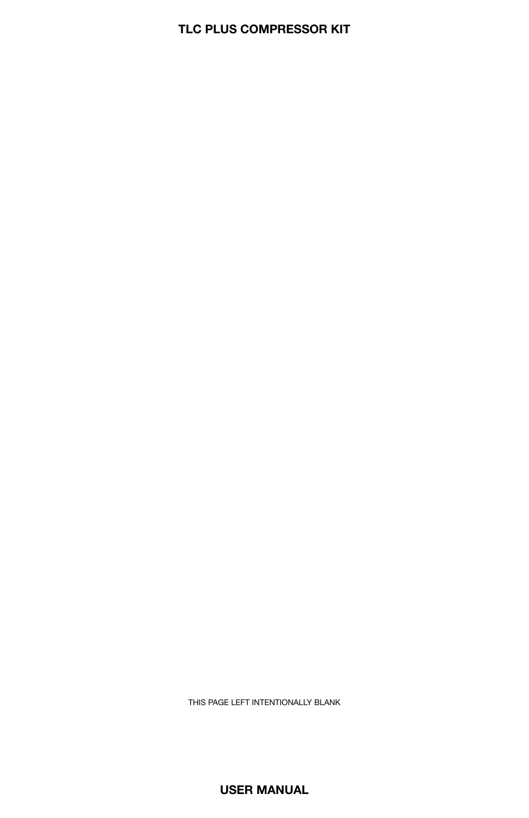THIS PAGE LEFT INTENTIONALLY BLANK